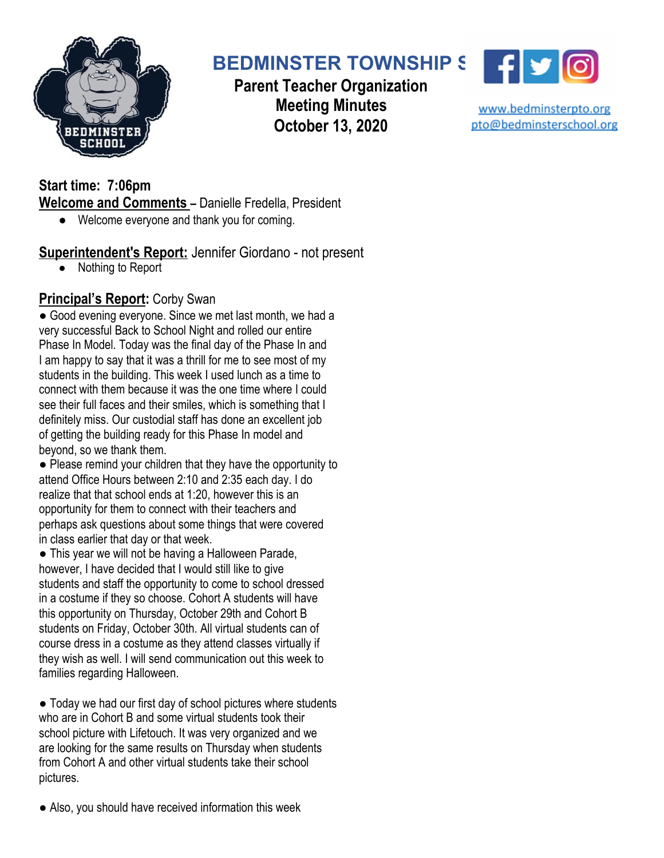

# **BEDMINSTER TOWNSHIP SCHOOL**

**Parent Teacher Organization Meeting Minutes October 13, 2020**



www.bedminsterpto.org pto@bedminsterschool.org

**Start time: 7:06pm Welcome and Comments –** Danielle Fredella, President

● Welcome everyone and thank you for coming.

**Superintendent's Report:** Jennifer Giordano - not present

● Nothing to Report

# **Principal's Report:** Corby Swan

● Good evening everyone. Since we met last month, we had a very successful Back to School Night and rolled our entire Phase In Model. Today was the final day of the Phase In and I am happy to say that it was a thrill for me to see most of my students in the building. This week I used lunch as a time to connect with them because it was the one time where I could see their full faces and their smiles, which is something that I definitely miss. Our custodial staff has done an excellent job of getting the building ready for this Phase In model and beyond, so we thank them.

● Please remind your children that they have the opportunity to attend Office Hours between 2:10 and 2:35 each day. I do realize that that school ends at 1:20, however this is an opportunity for them to connect with their teachers and perhaps ask questions about some things that were covered in class earlier that day or that week.

● This year we will not be having a Halloween Parade, however, I have decided that I would still like to give students and staff the opportunity to come to school dressed in a costume if they so choose. Cohort A students will have this opportunity on Thursday, October 29th and Cohort B students on Friday, October 30th. All virtual students can of course dress in a costume as they attend classes virtually if they wish as well. I will send communication out this week to families regarding Halloween.

● Today we had our first day of school pictures where students who are in Cohort B and some virtual students took their school picture with Lifetouch. It was very organized and we are looking for the same results on Thursday when students from Cohort A and other virtual students take their school pictures.

● Also, you should have received information this week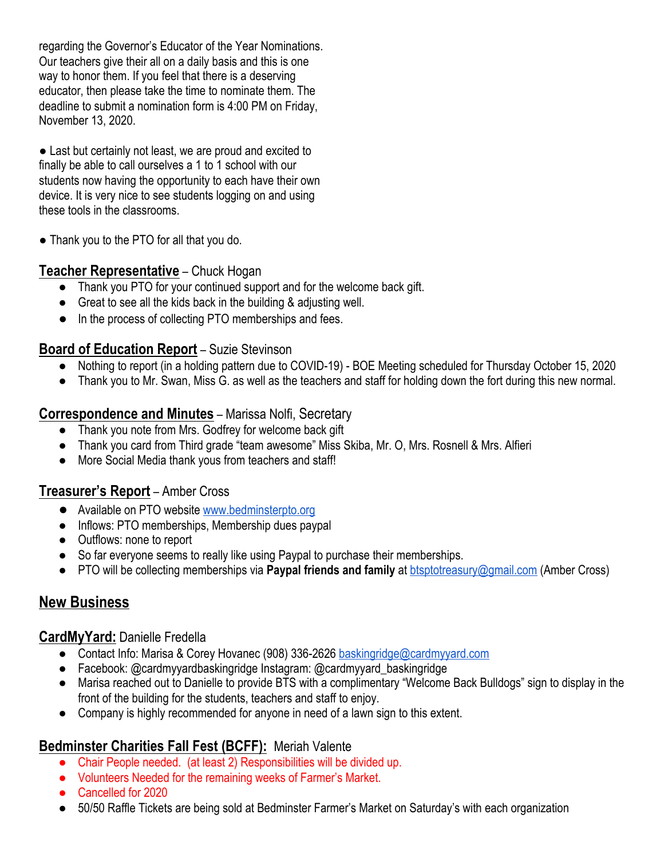regarding the Governor's Educator of the Year Nominations. Our teachers give their all on a daily basis and this is one way to honor them. If you feel that there is a deserving educator, then please take the time to nominate them. The deadline to submit a nomination form is 4:00 PM on Friday, November 13, 2020.

● Last but certainly not least, we are proud and excited to finally be able to call ourselves a 1 to 1 school with our students now having the opportunity to each have their own device. It is very nice to see students logging on and using these tools in the classrooms.

• Thank you to the PTO for all that you do.

#### **Teacher Representative** – Chuck Hogan

- Thank you PTO for your continued support and for the welcome back gift.
- Great to see all the kids back in the building & adjusting well.
- In the process of collecting PTO memberships and fees.

#### **Board of Education Report** – Suzie Stevinson

- Nothing to report (in a holding pattern due to COVID-19) BOE Meeting scheduled for Thursday October 15, 2020
- Thank you to Mr. Swan, Miss G. as well as the teachers and staff for holding down the fort during this new normal.

#### **Correspondence and Minutes** – Marissa Nolfi, Secretary

- Thank you note from Mrs. Godfrey for welcome back gift
- Thank you card from Third grade "team awesome" Miss Skiba, Mr. O, Mrs. Rosnell & Mrs. Alfieri
- More Social Media thank yous from teachers and staff!

#### **Treasurer's Report** – Amber Cross

- Available on PTO website [www.bedminsterpto.org](http://www.bedminsterpto.org/)
- Inflows: PTO memberships, Membership dues paypal
- Outflows: none to report
- So far everyone seems to really like using Paypal to purchase their memberships.
- PTO will be collecting memberships via **Paypal friends and family** at **btsptotreasury@gmail.com** (Amber Cross)

# **New Business**

#### **CardMyYard:** Danielle Fredella

- Contact Info: Marisa & Corey Hovanec (908) 336-2626 [baskingridge@cardmyyard.com](mailto:baskingridge@cardmyyard.com)
- Facebook: @cardmyyardbaskingridge Instagram: @cardmyyard baskingridge
- Marisa reached out to Danielle to provide BTS with a complimentary "Welcome Back Bulldogs" sign to display in the front of the building for the students, teachers and staff to enjoy.
- Company is highly recommended for anyone in need of a lawn sign to this extent.

#### **Bedminster Charities Fall Fest (BCFF):** Meriah Valente

- Chair People needed. (at least 2) Responsibilities will be divided up.
- Volunteers Needed for the remaining weeks of Farmer's Market.
- Cancelled for 2020
- 50/50 Raffle Tickets are being sold at Bedminster Farmer's Market on Saturday's with each organization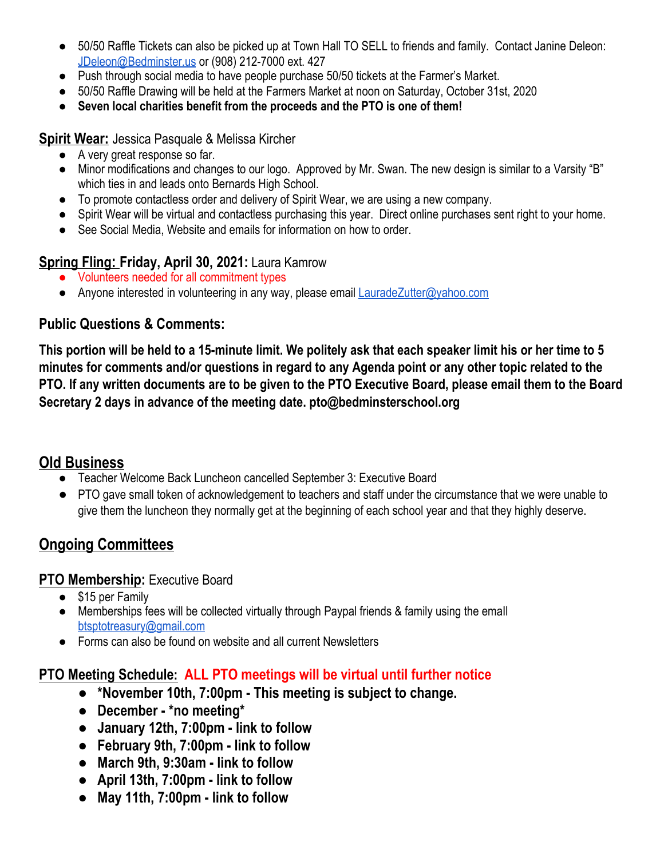- 50/50 Raffle Tickets can also be picked up at Town Hall TO SELL to friends and family. Contact Janine Deleon: [JDeleon@Bedminster.us](mailto:JDeleon@Bedminster.us) or (908) 212-7000 ext. 427
- Push through social media to have people purchase 50/50 tickets at the Farmer's Market.
- 50/50 Raffle Drawing will be held at the Farmers Market at noon on Saturday, October 31st, 2020
- **● Seven local charities benefit from the proceeds and the PTO is one of them!**

**Spirit Wear:** Jessica Pasquale & Melissa Kircher

- A very great response so far.
- Minor modifications and changes to our logo. Approved by Mr. Swan. The new design is similar to a Varsity "B" which ties in and leads onto Bernards High School.
- To promote contactless order and delivery of Spirit Wear, we are using a new company.
- Spirit Wear will be virtual and contactless purchasing this year. Direct online purchases sent right to your home.
- See Social Media, Website and emails for information on how to order.

## **Spring Fling: Friday, April 30, 2021:** Laura Kamrow

- Volunteers needed for all commitment types
- Anyone interested in volunteering in any way, please email [LauradeZutter@yahoo.com](mailto:LauradeZutter@yahoo.com)

#### **Public Questions & Comments:**

This portion will be held to a 15-minute limit. We politely ask that each speaker limit his or her time to 5 minutes for comments and/or questions in regard to any Agenda point or any other topic related to the PTO. If any written documents are to be given to the PTO Executive Board, please email them to the Board **Secretary 2 days in advance of the meeting date. pto@bedminsterschool.org**

## **Old Business**

- Teacher Welcome Back Luncheon cancelled September 3: Executive Board
- PTO gave small token of acknowledgement to teachers and staff under the circumstance that we were unable to give them the luncheon they normally get at the beginning of each school year and that they highly deserve.

# **Ongoing Committees**

#### **PTO Membership:** Executive Board

- \$15 per Family
- Memberships fees will be collected virtually through Paypal friends & family using the emall [btsptotreasury@gmail.com](mailto:btsptotreasury@gmail.com)
- Forms can also be found on website and all current Newsletters

## **PTO Meeting Schedule: ALL PTO meetings will be virtual until further notice**

- **● \*November 10th, 7:00pm - This meeting is subject to change.**
- **● December - \*no meeting\***
- **● January 12th, 7:00pm - link to follow**
- **● February 9th, 7:00pm - link to follow**
- **● March 9th, 9:30am - link to follow**
- **● April 13th, 7:00pm - link to follow**
- **● May 11th, 7:00pm - link to follow**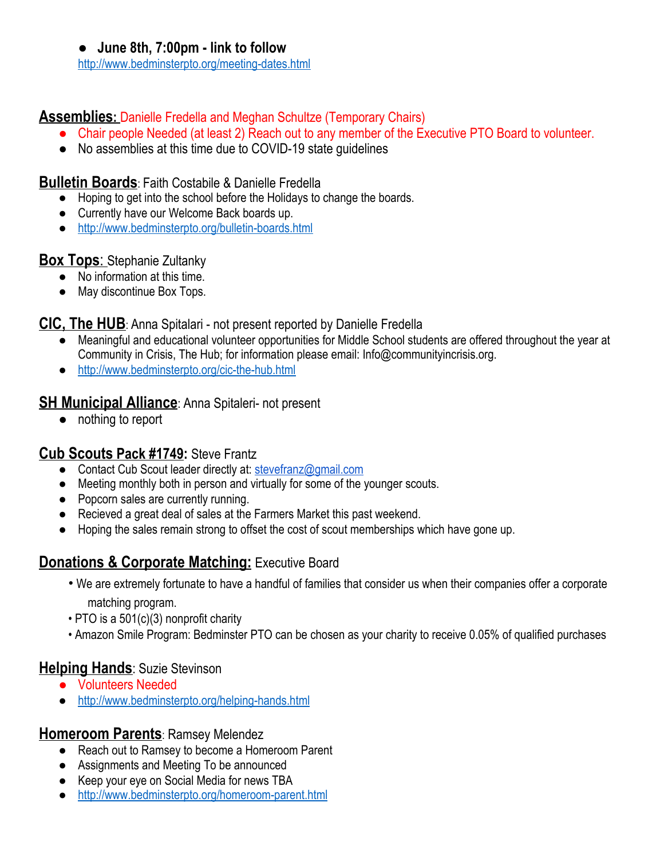**● June 8th, 7:00pm - link to follow**

<http://www.bedminsterpto.org/meeting-dates.html>

## **Assemblies:** Danielle Fredella and Meghan Schultze (Temporary Chairs)

- Chair people Needed (at least 2) Reach out to any member of the Executive PTO Board to volunteer.
- No assemblies at this time due to COVID-19 state guidelines

#### **Bulletin Boards**: Faith Costabile & Danielle Fredella

- Hoping to get into the school before the Holidays to change the boards.
- Currently have our Welcome Back boards up.
- <http://www.bedminsterpto.org/bulletin-boards.html>

## **Box Tops**: Stephanie Zultanky

- No information at this time.
- May discontinue Box Tops.

## **CIC, The HUB**: Anna Spitalari - not present reported by Danielle Fredella

- Meaningful and educational volunteer opportunities for Middle School students are offered throughout the year at Community in Crisis, The Hub; for information please email: Info@communityincrisis.org.
- <http://www.bedminsterpto.org/cic-the-hub.html>

## **SH Municipal Alliance:** Anna Spitaleri- not present

● nothing to report

## **Cub Scouts Pack #1749:** Steve Frantz

- Contact Cub Scout leader directly at: [stevefranz@gmail.com](mailto:stevefranz@gmail.com)
- Meeting monthly both in person and virtually for some of the younger scouts.
- Popcorn sales are currently running.
- Recieved a great deal of sales at the Farmers Market this past weekend.
- Hoping the sales remain strong to offset the cost of scout memberships which have gone up.

# **Donations & Corporate Matching: Executive Board**

- We are extremely fortunate to have a handful of families that consider us when their companies offer a corporate matching program.
- PTO is a 501(c)(3) nonprofit charity
- Amazon Smile Program: Bedminster PTO can be chosen as your charity to receive 0.05% of qualified purchases

## **Helping Hands**: Suzie Stevinson

- Volunteers Needed
- <http://www.bedminsterpto.org/helping-hands.html>

## **Homeroom Parents**: Ramsey Melendez

- Reach out to Ramsey to become a Homeroom Parent
- Assignments and Meeting To be announced
- Keep your eye on Social Media for news TBA
- <http://www.bedminsterpto.org/homeroom-parent.html>